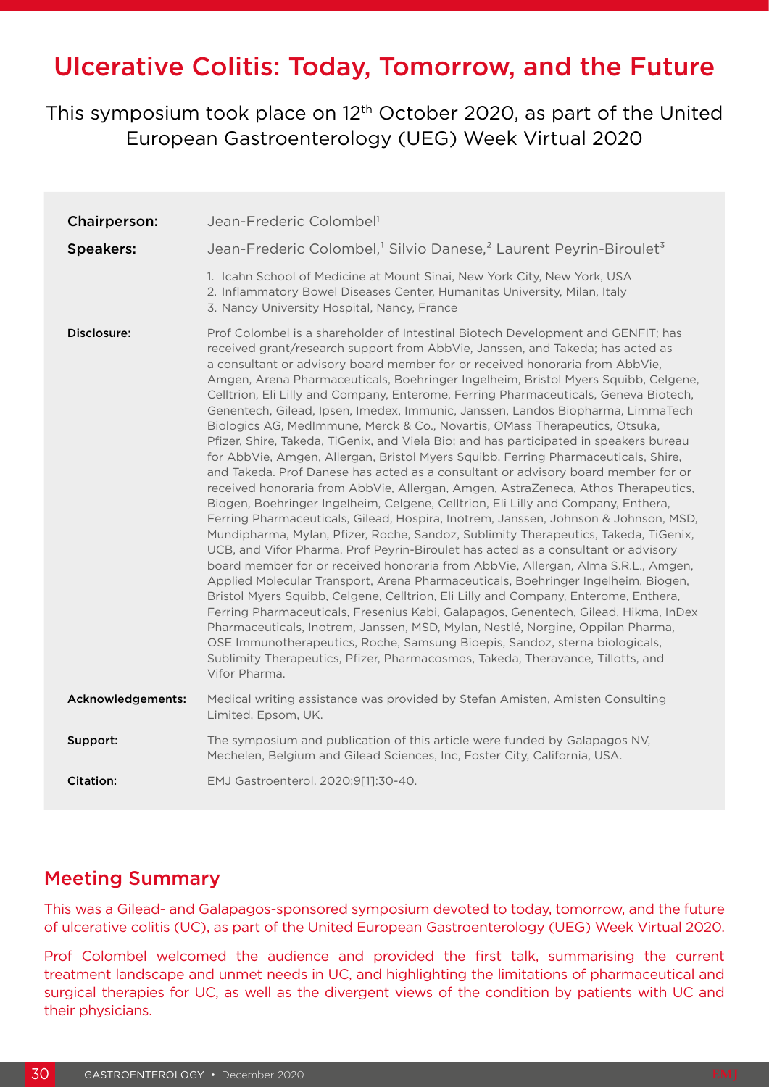# Ulcerative Colitis: Today, Tomorrow, and the Future

# This symposium took place on 12<sup>th</sup> October 2020, as part of the United European Gastroenterology (UEG) Week Virtual 2020

| <b>Chairperson:</b> | Jean-Frederic Colombel <sup>1</sup>                                                                                                                                                                                                                                                                                                                                                                                                                                                                                                                                                                                                                                                                                                                                                                                                                                                                                                                                                                                                                                                                                                                                                                                                                                                                                                                                                                                                                                                                                                                                                                                                                                                                                                                                                                                                                                                                                                                |
|---------------------|----------------------------------------------------------------------------------------------------------------------------------------------------------------------------------------------------------------------------------------------------------------------------------------------------------------------------------------------------------------------------------------------------------------------------------------------------------------------------------------------------------------------------------------------------------------------------------------------------------------------------------------------------------------------------------------------------------------------------------------------------------------------------------------------------------------------------------------------------------------------------------------------------------------------------------------------------------------------------------------------------------------------------------------------------------------------------------------------------------------------------------------------------------------------------------------------------------------------------------------------------------------------------------------------------------------------------------------------------------------------------------------------------------------------------------------------------------------------------------------------------------------------------------------------------------------------------------------------------------------------------------------------------------------------------------------------------------------------------------------------------------------------------------------------------------------------------------------------------------------------------------------------------------------------------------------------------|
| <b>Speakers:</b>    | Jean-Frederic Colombel, <sup>1</sup> Silvio Danese, <sup>2</sup> Laurent Peyrin-Biroulet <sup>3</sup>                                                                                                                                                                                                                                                                                                                                                                                                                                                                                                                                                                                                                                                                                                                                                                                                                                                                                                                                                                                                                                                                                                                                                                                                                                                                                                                                                                                                                                                                                                                                                                                                                                                                                                                                                                                                                                              |
|                     | 1. Icahn School of Medicine at Mount Sinai, New York City, New York, USA<br>2. Inflammatory Bowel Diseases Center, Humanitas University, Milan, Italy<br>3. Nancy University Hospital, Nancy, France                                                                                                                                                                                                                                                                                                                                                                                                                                                                                                                                                                                                                                                                                                                                                                                                                                                                                                                                                                                                                                                                                                                                                                                                                                                                                                                                                                                                                                                                                                                                                                                                                                                                                                                                               |
| Disclosure:         | Prof Colombel is a shareholder of Intestinal Biotech Development and GENFIT; has<br>received grant/research support from AbbVie, Janssen, and Takeda; has acted as<br>a consultant or advisory board member for or received honoraria from AbbVie,<br>Amgen, Arena Pharmaceuticals, Boehringer Ingelheim, Bristol Myers Squibb, Celgene,<br>Celltrion, Eli Lilly and Company, Enterome, Ferring Pharmaceuticals, Geneva Biotech,<br>Genentech, Gilead, Ipsen, Imedex, Immunic, Janssen, Landos Biopharma, LimmaTech<br>Biologics AG, MedImmune, Merck & Co., Novartis, OMass Therapeutics, Otsuka,<br>Pfizer, Shire, Takeda, TiGenix, and Viela Bio; and has participated in speakers bureau<br>for AbbVie, Amgen, Allergan, Bristol Myers Squibb, Ferring Pharmaceuticals, Shire,<br>and Takeda. Prof Danese has acted as a consultant or advisory board member for or<br>received honoraria from AbbVie, Allergan, Amgen, AstraZeneca, Athos Therapeutics,<br>Biogen, Boehringer Ingelheim, Celgene, Celltrion, Eli Lilly and Company, Enthera,<br>Ferring Pharmaceuticals, Gilead, Hospira, Inotrem, Janssen, Johnson & Johnson, MSD,<br>Mundipharma, Mylan, Pfizer, Roche, Sandoz, Sublimity Therapeutics, Takeda, TiGenix,<br>UCB, and Vifor Pharma. Prof Peyrin-Biroulet has acted as a consultant or advisory<br>board member for or received honoraria from AbbVie, Allergan, Alma S.R.L., Amgen,<br>Applied Molecular Transport, Arena Pharmaceuticals, Boehringer Ingelheim, Biogen,<br>Bristol Myers Squibb, Celgene, Celltrion, Eli Lilly and Company, Enterome, Enthera,<br>Ferring Pharmaceuticals, Fresenius Kabi, Galapagos, Genentech, Gilead, Hikma, InDex<br>Pharmaceuticals, Inotrem, Janssen, MSD, Mylan, Nestlé, Norgine, Oppilan Pharma,<br>OSE Immunotherapeutics, Roche, Samsung Bioepis, Sandoz, sterna biologicals,<br>Sublimity Therapeutics, Pfizer, Pharmacosmos, Takeda, Theravance, Tillotts, and<br>Vifor Pharma. |
| Acknowledgements:   | Medical writing assistance was provided by Stefan Amisten, Amisten Consulting<br>Limited, Epsom, UK.                                                                                                                                                                                                                                                                                                                                                                                                                                                                                                                                                                                                                                                                                                                                                                                                                                                                                                                                                                                                                                                                                                                                                                                                                                                                                                                                                                                                                                                                                                                                                                                                                                                                                                                                                                                                                                               |
| Support:            | The symposium and publication of this article were funded by Galapagos NV,<br>Mechelen, Belgium and Gilead Sciences, Inc, Foster City, California, USA.                                                                                                                                                                                                                                                                                                                                                                                                                                                                                                                                                                                                                                                                                                                                                                                                                                                                                                                                                                                                                                                                                                                                                                                                                                                                                                                                                                                                                                                                                                                                                                                                                                                                                                                                                                                            |
| <b>Citation:</b>    | EMJ Gastroenterol. 2020;9[1]:30-40.                                                                                                                                                                                                                                                                                                                                                                                                                                                                                                                                                                                                                                                                                                                                                                                                                                                                                                                                                                                                                                                                                                                                                                                                                                                                                                                                                                                                                                                                                                                                                                                                                                                                                                                                                                                                                                                                                                                |

### Meeting Summary

This was a Gilead- and Galapagos-sponsored symposium devoted to today, tomorrow, and the future of ulcerative colitis (UC), as part of the United European Gastroenterology (UEG) Week Virtual 2020.

Prof Colombel welcomed the audience and provided the first talk, summarising the current treatment landscape and unmet needs in UC, and highlighting the limitations of pharmaceutical and surgical therapies for UC, as well as the divergent views of the condition by patients with UC and their physicians.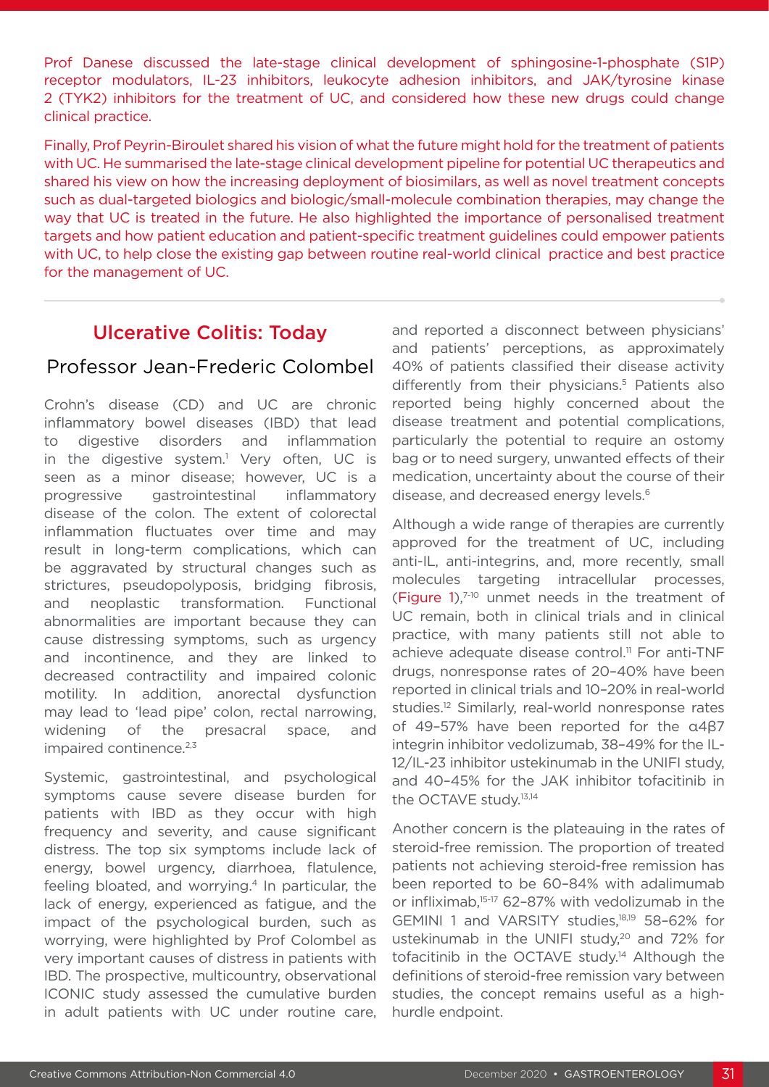Prof Danese discussed the late-stage clinical development of sphingosine-1-phosphate (S1P) receptor modulators, IL-23 inhibitors, leukocyte adhesion inhibitors, and JAK/tyrosine kinase 2 (TYK2) inhibitors for the treatment of UC, and considered how these new drugs could change clinical practice.

Finally, Prof Peyrin-Biroulet shared his vision of what the future might hold for the treatment of patients with UC. He summarised the late-stage clinical development pipeline for potential UC therapeutics and shared his view on how the increasing deployment of biosimilars, as well as novel treatment concepts such as dual-targeted biologics and biologic/small-molecule combination therapies, may change the way that UC is treated in the future. He also highlighted the importance of personalised treatment targets and how patient education and patient-specific treatment guidelines could empower patients with UC, to help close the existing gap between routine real-world clinical practice and best practice for the management of UC.

## Ulcerative Colitis: Today

### Professor Jean-Frederic Colombel

Crohn's disease (CD) and UC are chronic inflammatory bowel diseases (IBD) that lead to digestive disorders and inflammation in the digestive system.<sup>1</sup> Very often, UC is seen as a minor disease; however, UC is a progressive gastrointestinal inflammatory disease of the colon. The extent of colorectal inflammation fluctuates over time and may result in long-term complications, which can be aggravated by structural changes such as strictures, pseudopolyposis, bridging fibrosis, and neoplastic transformation. Functional abnormalities are important because they can cause distressing symptoms, such as urgency and incontinence, and they are linked to decreased contractility and impaired colonic motility. In addition, anorectal dysfunction may lead to 'lead pipe' colon, rectal narrowing, widening of the presacral space, and impaired continence.<sup>2,3</sup>

Systemic, gastrointestinal, and psychological symptoms cause severe disease burden for patients with IBD as they occur with high frequency and severity, and cause significant distress. The top six symptoms include lack of energy, bowel urgency, diarrhoea, flatulence, feeling bloated, and worrying.<sup>4</sup> In particular, the lack of energy, experienced as fatigue, and the impact of the psychological burden, such as worrying, were highlighted by Prof Colombel as very important causes of distress in patients with IBD. The prospective, multicountry, observational ICONIC study assessed the cumulative burden in adult patients with UC under routine care,

and reported a disconnect between physicians' and patients' perceptions, as approximately 40% of patients classified their disease activity differently from their physicians.<sup>5</sup> Patients also reported being highly concerned about the disease treatment and potential complications, particularly the potential to require an ostomy bag or to need surgery, unwanted effects of their medication, uncertainty about the course of their disease, and decreased energy levels.<sup>6</sup>

Although a wide range of therapies are currently approved for the treatment of UC, including anti-IL, anti-integrins, and, more recently, small molecules targeting intracellular processes, (Figure 1), $7-10$  unmet needs in the treatment of UC remain, both in clinical trials and in clinical practice, with many patients still not able to achieve adequate disease control.<sup>11</sup> For anti-TNF drugs, nonresponse rates of 20–40% have been reported in clinical trials and 10–20% in real-world studies.<sup>12</sup> Similarly, real-world nonresponse rates of 49–57% have been reported for the α4β7 integrin inhibitor vedolizumab, 38–49% for the IL-12/IL-23 inhibitor ustekinumab in the UNIFI study, and 40–45% for the JAK inhibitor tofacitinib in the OCTAVE study.13,14

Another concern is the plateauing in the rates of steroid-free remission. The proportion of treated patients not achieving steroid-free remission has been reported to be 60–84% with adalimumab or infliximab,15-17 62–87% with vedolizumab in the GEMINI 1 and VARSITY studies,18,19 58–62% for ustekinumab in the UNIFI study,<sup>20</sup> and 72% for tofacitinib in the OCTAVE study.<sup>14</sup> Although the definitions of steroid-free remission vary between studies, the concept remains useful as a highhurdle endpoint.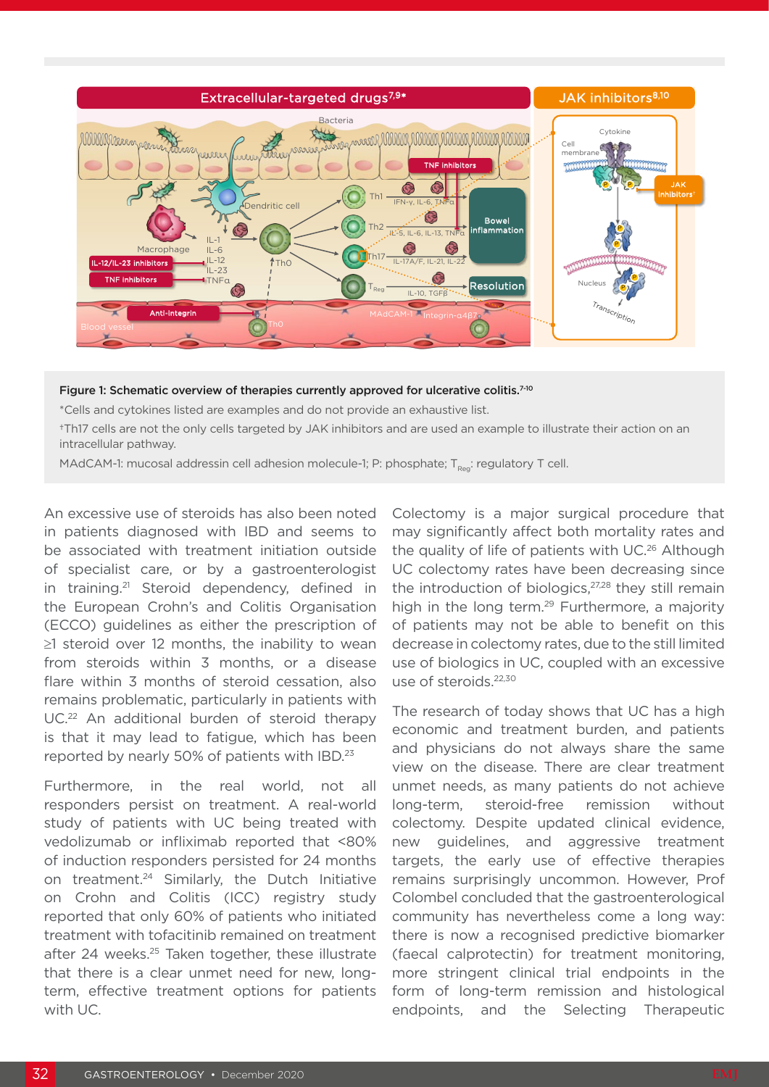

#### Figure 1: Schematic overview of therapies currently approved for ulcerative colitis.<sup>7-10</sup>

\*Cells and cytokines listed are examples and do not provide an exhaustive list.

†Th17 cells are not the only cells targeted by JAK inhibitors and are used an example to illustrate their action on an intracellular pathway.

MAdCAM-1: mucosal addressin cell adhesion molecule-1; P: phosphate;  $T_{\text{poc}}$ : regulatory T cell.

An excessive use of steroids has also been noted in patients diagnosed with IBD and seems to be associated with treatment initiation outside of specialist care, or by a gastroenterologist in training.<sup>21</sup> Steroid dependency, defined in the European Crohn's and Colitis Organisation (ECCO) guidelines as either the prescription of ≥1 steroid over 12 months, the inability to wean from steroids within 3 months, or a disease flare within 3 months of steroid cessation, also remains problematic, particularly in patients with UC.<sup>22</sup> An additional burden of steroid therapy is that it may lead to fatigue, which has been reported by nearly 50% of patients with IBD.23

Furthermore, in the real world, not all responders persist on treatment. A real-world study of patients with UC being treated with vedolizumab or infliximab reported that <80% of induction responders persisted for 24 months on treatment.24 Similarly, the Dutch Initiative on Crohn and Colitis (ICC) registry study reported that only 60% of patients who initiated treatment with tofacitinib remained on treatment after 24 weeks.<sup>25</sup> Taken together, these illustrate that there is a clear unmet need for new, longterm, effective treatment options for patients with UC.

Colectomy is a major surgical procedure that may significantly affect both mortality rates and the quality of life of patients with UC.<sup>26</sup> Although UC colectomy rates have been decreasing since the introduction of biologics, $27,28$  they still remain high in the long term.<sup>29</sup> Furthermore, a majority of patients may not be able to benefit on this decrease in colectomy rates, due to the still limited use of biologics in UC, coupled with an excessive use of steroids.22,30

The research of today shows that UC has a high economic and treatment burden, and patients and physicians do not always share the same view on the disease. There are clear treatment unmet needs, as many patients do not achieve long-term, steroid-free remission without colectomy. Despite updated clinical evidence, new guidelines, and aggressive treatment targets, the early use of effective therapies remains surprisingly uncommon. However, Prof Colombel concluded that the gastroenterological community has nevertheless come a long way: there is now a recognised predictive biomarker (faecal calprotectin) for treatment monitoring, more stringent clinical trial endpoints in the form of long-term remission and histological endpoints, and the Selecting Therapeutic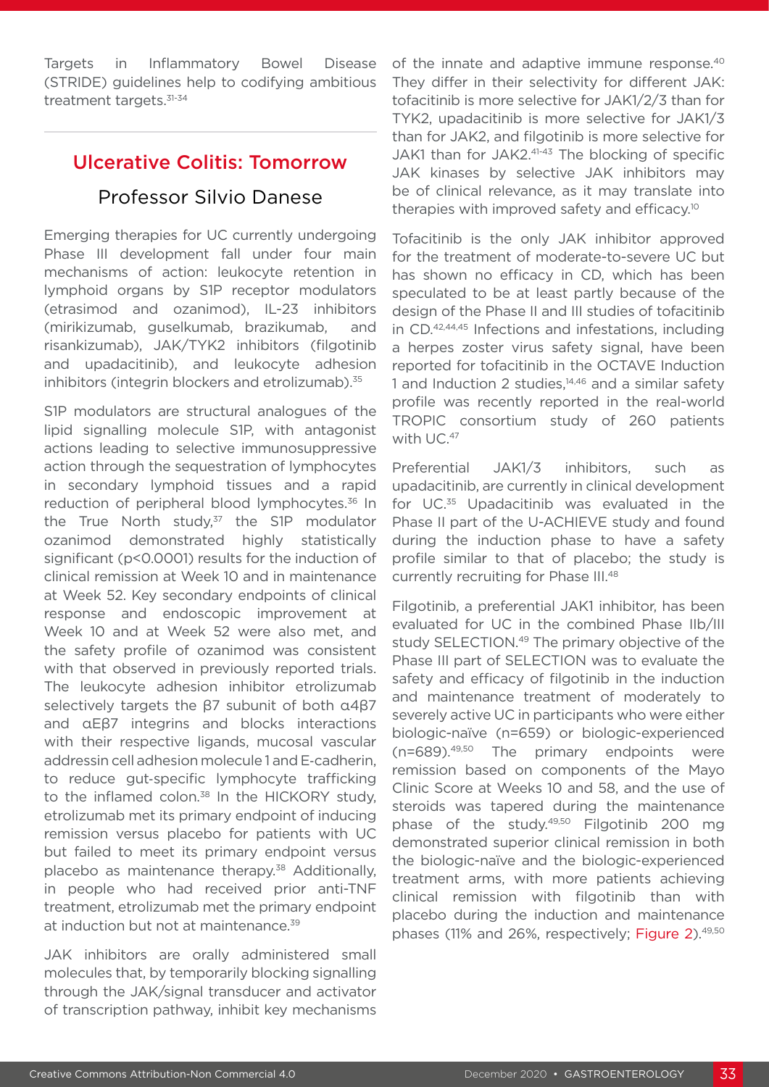Targets in Inflammatory Bowel Disease (STRIDE) guidelines help to codifying ambitious treatment targets.<sup>31-34</sup>

### Ulcerative Colitis: Tomorrow

### Professor Silvio Danese

Emerging therapies for UC currently undergoing Phase III development fall under four main mechanisms of action: leukocyte retention in lymphoid organs by S1P receptor modulators (etrasimod and ozanimod), IL-23 inhibitors (mirikizumab, guselkumab, brazikumab, and risankizumab), JAK/TYK2 inhibitors (filgotinib and upadacitinib), and leukocyte adhesion inhibitors (integrin blockers and etrolizumab).<sup>35</sup>

S1P modulators are structural analogues of the lipid signalling molecule S1P, with antagonist actions leading to selective immunosuppressive action through the sequestration of lymphocytes in secondary lymphoid tissues and a rapid reduction of peripheral blood lymphocytes.<sup>36</sup> In the True North study, $37$  the S1P modulator ozanimod demonstrated highly statistically significant (p<0.0001) results for the induction of clinical remission at Week 10 and in maintenance at Week 52. Key secondary endpoints of clinical response and endoscopic improvement at Week 10 and at Week 52 were also met, and the safety profile of ozanimod was consistent with that observed in previously reported trials. The leukocyte adhesion inhibitor etrolizumab selectively targets the β7 subunit of both α4β7 and αEβ7 integrins and blocks interactions with their respective ligands, mucosal vascular addressin cell adhesion molecule 1 and E‐cadherin, to reduce gut‐specific lymphocyte trafficking to the inflamed colon.<sup>38</sup> In the HICKORY study, etrolizumab met its primary endpoint of inducing remission versus placebo for patients with UC but failed to meet its primary endpoint versus placebo as maintenance therapy.<sup>38</sup> Additionally, in people who had received prior anti-TNF treatment, etrolizumab met the primary endpoint at induction but not at maintenance.<sup>39</sup>

JAK inhibitors are orally administered small molecules that, by temporarily blocking signalling through the JAK/signal transducer and activator of transcription pathway, inhibit key mechanisms

of the innate and adaptive immune response.<sup>40</sup> They differ in their selectivity for different JAK: tofacitinib is more selective for JAK1/2/3 than for TYK2, upadacitinib is more selective for JAK1/3 than for JAK2, and filgotinib is more selective for JAK1 than for JAK2.<sup>41-43</sup> The blocking of specific JAK kinases by selective JAK inhibitors may be of clinical relevance, as it may translate into therapies with improved safety and efficacy.10

Tofacitinib is the only JAK inhibitor approved for the treatment of moderate-to-severe UC but has shown no efficacy in CD, which has been speculated to be at least partly because of the design of the Phase II and III studies of tofacitinib in CD.42,44,45 Infections and infestations, including a herpes zoster virus safety signal, have been reported for tofacitinib in the OCTAVE Induction 1 and Induction 2 studies,<sup>14,46</sup> and a similar safety profile was recently reported in the real-world TROPIC consortium study of 260 patients with UC.<sup>47</sup>

Preferential JAK1/3 inhibitors, such as upadacitinib, are currently in clinical development for UC.35 Upadacitinib was evaluated in the Phase II part of the U-ACHIEVE study and found during the induction phase to have a safety profile similar to that of placebo; the study is currently recruiting for Phase III.48

Filgotinib, a preferential JAK1 inhibitor, has been evaluated for UC in the combined Phase IIb/III study SELECTION.<sup>49</sup> The primary objective of the Phase III part of SELECTION was to evaluate the safety and efficacy of filgotinib in the induction and maintenance treatment of moderately to severely active UC in participants who were either biologic-naïve (n=659) or biologic-experienced (n=689).49,50 The primary endpoints were remission based on components of the Mayo Clinic Score at Weeks 10 and 58, and the use of steroids was tapered during the maintenance phase of the study.49,50 Filgotinib 200 mg demonstrated superior clinical remission in both the biologic-naïve and the biologic-experienced treatment arms, with more patients achieving clinical remission with filgotinib than with placebo during the induction and maintenance phases (11% and 26%, respectively; Figure 2).<sup>49,50</sup>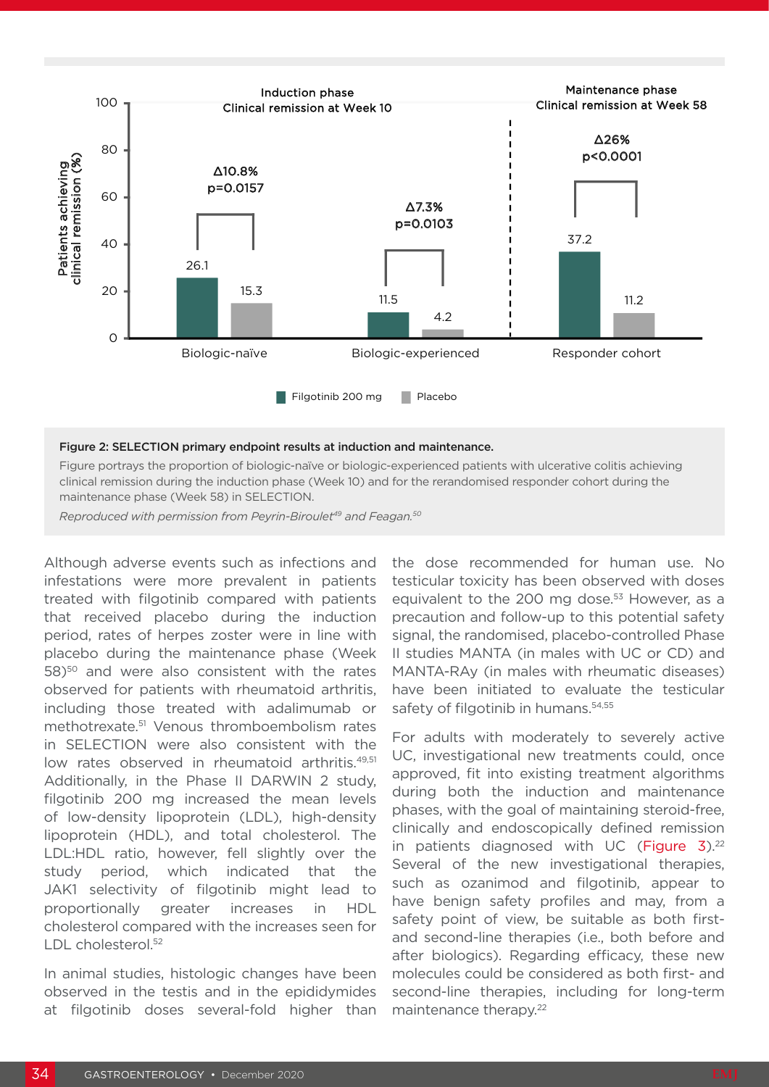

#### Figure 2: SELECTION primary endpoint results at induction and maintenance.

Figure portrays the proportion of biologic-naïve or biologic-experienced patients with ulcerative colitis achieving clinical remission during the induction phase (Week 10) and for the rerandomised responder cohort during the maintenance phase (Week 58) in SELECTION.

*Reproduced with permission from Peyrin-Biroulet49 and Feagan.50*

Although adverse events such as infections and infestations were more prevalent in patients treated with filgotinib compared with patients that received placebo during the induction period, rates of herpes zoster were in line with placebo during the maintenance phase (Week 58)50 and were also consistent with the rates observed for patients with rheumatoid arthritis, including those treated with adalimumab or methotrexate.51 Venous thromboembolism rates in SELECTION were also consistent with the low rates observed in rheumatoid arthritis.<sup>49,51</sup> Additionally, in the Phase II DARWIN 2 study, filgotinib 200 mg increased the mean levels of low-density lipoprotein (LDL), high-density lipoprotein (HDL), and total cholesterol. The LDL:HDL ratio, however, fell slightly over the study period, which indicated that the JAK1 selectivity of filgotinib might lead to proportionally greater increases in HDL cholesterol compared with the increases seen for LDL cholesterol.<sup>52</sup>

In animal studies, histologic changes have been observed in the testis and in the epididymides at filgotinib doses several-fold higher than the dose recommended for human use. No testicular toxicity has been observed with doses equivalent to the 200 mg dose.<sup>53</sup> However, as a precaution and follow-up to this potential safety signal, the randomised, placebo-controlled Phase II studies MANTA (in males with UC or CD) and MANTA-RAy (in males with rheumatic diseases) have been initiated to evaluate the testicular safety of filgotinib in humans.<sup>54,55</sup>

For adults with moderately to severely active UC, investigational new treatments could, once approved, fit into existing treatment algorithms during both the induction and maintenance phases, with the goal of maintaining steroid-free, clinically and endoscopically defined remission in patients diagnosed with UC (Figure  $3$ ).<sup>22</sup> Several of the new investigational therapies, such as ozanimod and filgotinib, appear to have benign safety profiles and may, from a safety point of view, be suitable as both firstand second-line therapies (i.e., both before and after biologics). Regarding efficacy, these new molecules could be considered as both first- and second-line therapies, including for long-term maintenance therapy.<sup>22</sup>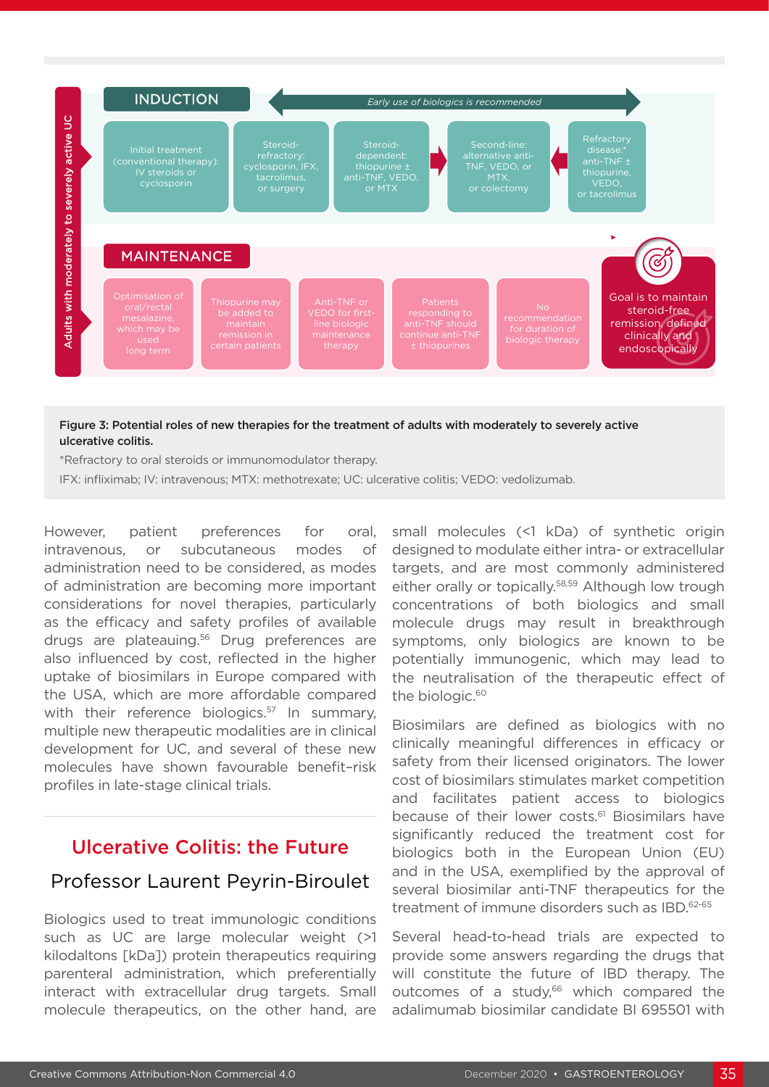

### Figure 3: Potential roles of new therapies for the treatment of adults with moderately to severely active ulcerative colitis.

\*Refractory to oral steroids or immunomodulator therapy.

IFX: infliximab; IV: intravenous; MTX: methotrexate; UC: ulcerative colitis; VEDO: vedolizumab.

However, patient preferences for oral, intravenous, or subcutaneous modes of administration need to be considered, as modes of administration are becoming more important considerations for novel therapies, particularly as the efficacy and safety profiles of available drugs are plateauing.<sup>56</sup> Drug preferences are also influenced by cost, reflected in the higher uptake of biosimilars in Europe compared with the USA, which are more affordable compared with their reference biologics.<sup>57</sup> In summary, multiple new therapeutic modalities are in clinical development for UC, and several of these new molecules have shown favourable benefit–risk profiles in late-stage clinical trials.

### Ulcerative Colitis: the Future

### Professor Laurent Peyrin-Biroulet

Biologics used to treat immunologic conditions such as UC are large molecular weight (>1 kilodaltons [kDa]) protein therapeutics requiring parenteral administration, which preferentially interact with extracellular drug targets. Small molecule therapeutics, on the other hand, are

small molecules (<1 kDa) of synthetic origin designed to modulate either intra- or extracellular targets, and are most commonly administered either orally or topically.<sup>58,59</sup> Although low trough concentrations of both biologics and small molecule drugs may result in breakthrough symptoms, only biologics are known to be potentially immunogenic, which may lead to the neutralisation of the therapeutic effect of the biologic.<sup>60</sup>

Biosimilars are defined as biologics with no clinically meaningful differences in efficacy or safety from their licensed originators. The lower cost of biosimilars stimulates market competition and facilitates patient access to biologics because of their lower costs.<sup>61</sup> Biosimilars have significantly reduced the treatment cost for biologics both in the European Union (EU) and in the USA, exemplified by the approval of several biosimilar anti-TNF therapeutics for the treatment of immune disorders such as IBD.<sup>62-65</sup>

Several head-to-head trials are expected to provide some answers regarding the drugs that will constitute the future of IBD therapy. The outcomes of a study,<sup>66</sup> which compared the adalimumab biosimilar candidate BI 695501 with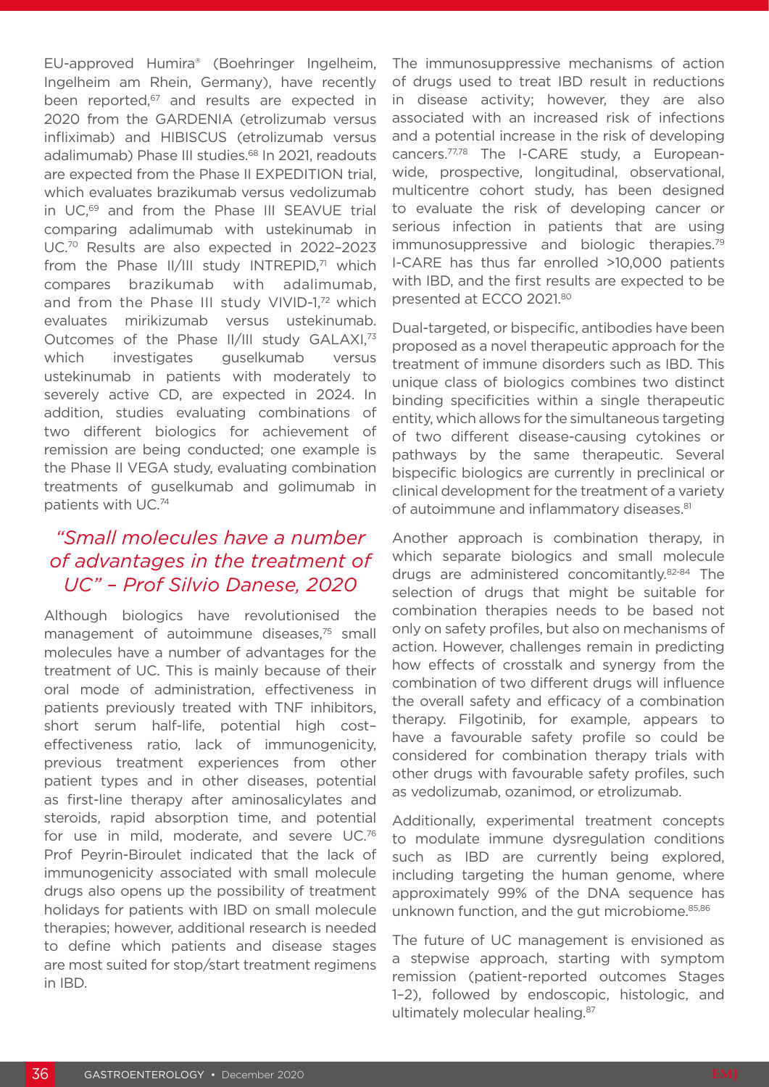EU-approved Humira® (Boehringer Ingelheim, Ingelheim am Rhein, Germany), have recently been reported,<sup>67</sup> and results are expected in 2020 from the GARDENIA (etrolizumab versus infliximab) and HIBISCUS (etrolizumab versus adalimumab) Phase III studies.<sup>68</sup> In 2021, readouts are expected from the Phase II EXPEDITION trial, which evaluates brazikumab versus vedolizumab in UC,69 and from the Phase III SEAVUE trial comparing adalimumab with ustekinumab in UC.70 Results are also expected in 2022–2023 from the Phase  $II/III$  study INTREPID,<sup>71</sup> which compares brazikumab with adalimumab, and from the Phase III study VIVID-1,72 which evaluates mirikizumab versus ustekinumab. Outcomes of the Phase II/III study GALAXI,<sup>73</sup> which investigates guselkumab versus ustekinumab in patients with moderately to severely active CD, are expected in 2024. In addition, studies evaluating combinations of two different biologics for achievement of remission are being conducted; one example is the Phase II VEGA study, evaluating combination treatments of guselkumab and golimumab in patients with UC.74

### *"Small molecules have a number of advantages in the treatment of UC" – Prof Silvio Danese, 2020*

Although biologics have revolutionised the management of autoimmune diseases.<sup>75</sup> small molecules have a number of advantages for the treatment of UC. This is mainly because of their oral mode of administration, effectiveness in patients previously treated with TNF inhibitors, short serum half-life, potential high cost– effectiveness ratio, lack of immunogenicity, previous treatment experiences from other patient types and in other diseases, potential as first-line therapy after aminosalicylates and steroids, rapid absorption time, and potential for use in mild, moderate, and severe UC.76 Prof Peyrin-Biroulet indicated that the lack of immunogenicity associated with small molecule drugs also opens up the possibility of treatment holidays for patients with IBD on small molecule therapies; however, additional research is needed to define which patients and disease stages are most suited for stop/start treatment regimens in IBD.

The immunosuppressive mechanisms of action of drugs used to treat IBD result in reductions in disease activity; however, they are also associated with an increased risk of infections and a potential increase in the risk of developing cancers.77,78 The I-CARE study, a Europeanwide, prospective, longitudinal, observational, multicentre cohort study, has been designed to evaluate the risk of developing cancer or serious infection in patients that are using immunosuppressive and biologic therapies.<sup>79</sup> I-CARE has thus far enrolled >10,000 patients with IBD, and the first results are expected to be presented at ECCO 2021.80

Dual-targeted, or bispecific, antibodies have been proposed as a novel therapeutic approach for the treatment of immune disorders such as IBD. This unique class of biologics combines two distinct binding specificities within a single therapeutic entity, which allows for the simultaneous targeting of two different disease-causing cytokines or pathways by the same therapeutic. Several bispecific biologics are currently in preclinical or clinical development for the treatment of a variety of autoimmune and inflammatory diseases.<sup>81</sup>

Another approach is combination therapy, in which separate biologics and small molecule drugs are administered concomitantly.82-84 The selection of drugs that might be suitable for combination therapies needs to be based not only on safety profiles, but also on mechanisms of action. However, challenges remain in predicting how effects of crosstalk and synergy from the combination of two different drugs will influence the overall safety and efficacy of a combination therapy. Filgotinib, for example, appears to have a favourable safety profile so could be considered for combination therapy trials with other drugs with favourable safety profiles, such as vedolizumab, ozanimod, or etrolizumab.

Additionally, experimental treatment concepts to modulate immune dysregulation conditions such as IBD are currently being explored, including targeting the human genome, where approximately 99% of the DNA sequence has unknown function, and the gut microbiome.<sup>85,86</sup>

The future of UC management is envisioned as a stepwise approach, starting with symptom remission (patient-reported outcomes Stages 1–2), followed by endoscopic, histologic, and ultimately molecular healing.<sup>87</sup>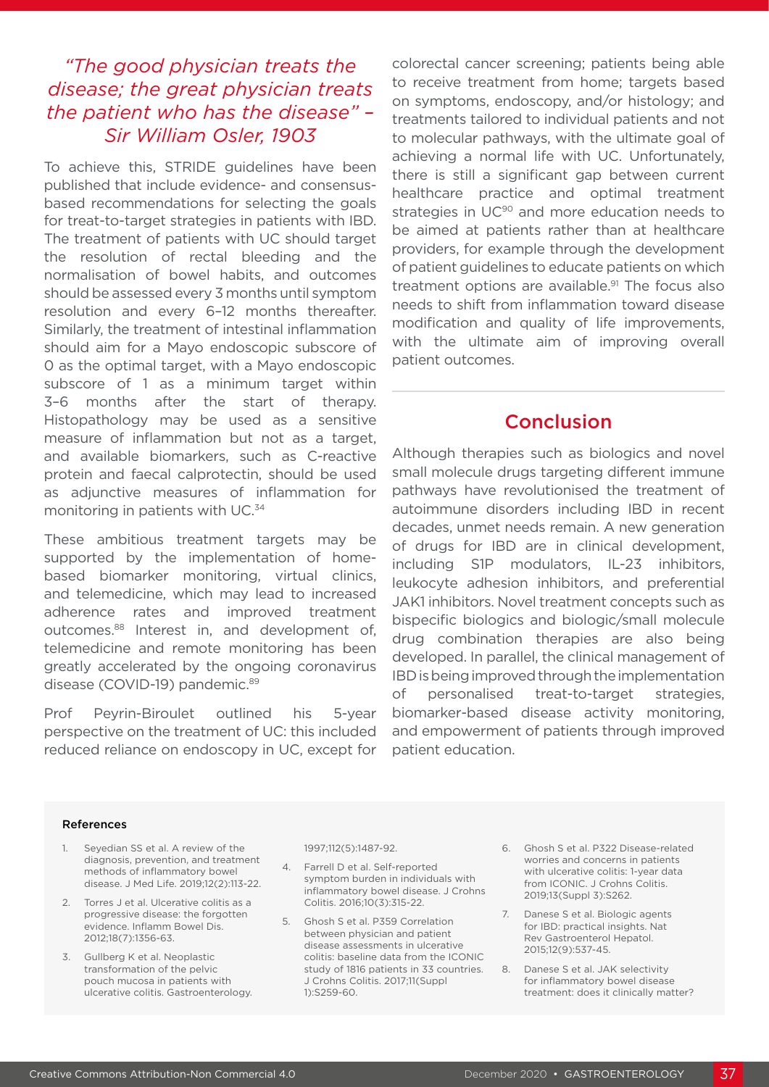### *"The good physician treats the disease; the great physician treats the patient who has the disease" – Sir William Osler, 1903*

To achieve this, STRIDE guidelines have been published that include evidence- and consensusbased recommendations for selecting the goals for treat-to-target strategies in patients with IBD. The treatment of patients with UC should target the resolution of rectal bleeding and the normalisation of bowel habits, and outcomes should be assessed every 3 months until symptom resolution and every 6–12 months thereafter. Similarly, the treatment of intestinal inflammation should aim for a Mayo endoscopic subscore of 0 as the optimal target, with a Mayo endoscopic subscore of 1 as a minimum target within 3–6 months after the start of therapy. Histopathology may be used as a sensitive measure of inflammation but not as a target, and available biomarkers, such as C-reactive protein and faecal calprotectin, should be used as adjunctive measures of inflammation for monitoring in patients with UC.<sup>34</sup>

These ambitious treatment targets may be supported by the implementation of homebased biomarker monitoring, virtual clinics, and telemedicine, which may lead to increased adherence rates and improved treatment outcomes.88 Interest in, and development of, telemedicine and remote monitoring has been greatly accelerated by the ongoing coronavirus disease (COVID-19) pandemic.<sup>89</sup>

Prof Peyrin-Biroulet outlined his 5-year perspective on the treatment of UC: this included reduced reliance on endoscopy in UC, except for colorectal cancer screening; patients being able to receive treatment from home; targets based on symptoms, endoscopy, and/or histology; and treatments tailored to individual patients and not to molecular pathways, with the ultimate goal of achieving a normal life with UC. Unfortunately, there is still a significant gap between current healthcare practice and optimal treatment strategies in UC<sup>90</sup> and more education needs to be aimed at patients rather than at healthcare providers, for example through the development of patient guidelines to educate patients on which treatment options are available. $91$  The focus also needs to shift from inflammation toward disease modification and quality of life improvements, with the ultimate aim of improving overall patient outcomes.

### Conclusion

Although therapies such as biologics and novel small molecule drugs targeting different immune pathways have revolutionised the treatment of autoimmune disorders including IBD in recent decades, unmet needs remain. A new generation of drugs for IBD are in clinical development, including S1P modulators, IL-23 inhibitors, leukocyte adhesion inhibitors, and preferential JAK1 inhibitors. Novel treatment concepts such as bispecific biologics and biologic/small molecule drug combination therapies are also being developed. In parallel, the clinical management of IBD is being improved through the implementation of personalised treat-to-target strategies, biomarker-based disease activity monitoring, and empowerment of patients through improved patient education.

### References

- 1. Seyedian SS et al. A review of the diagnosis, prevention, and treatment methods of inflammatory bowel disease. J Med Life. 2019;12(2):113-22.
- 2. Torres J et al. Ulcerative colitis as a progressive disease: the forgotten evidence. Inflamm Bowel Dis. 2012;18(7):1356-63.
- 3. Gullberg K et al. Neoplastic transformation of the pelvic pouch mucosa in patients with ulcerative colitis. Gastroenterology.

#### 1997;112(5):1487-92.

- 4. Farrell D et al. Self-reported symptom burden in individuals with inflammatory bowel disease. J Crohns Colitis. 2016;10(3):315-22.
- 5. Ghosh S et al. P359 Correlation between physician and patient disease assessments in ulcerative colitis: baseline data from the ICONIC study of 1816 patients in 33 countries. J Crohns Colitis. 2017;11(Suppl 1):S259-60.
- 6. Ghosh S et al. P322 Disease-related worries and concerns in patients with ulcerative colitis: 1-year data from ICONIC. J Crohns Colitis. 2019;13(Suppl 3):S262.
- 7. Danese S et al. Biologic agents for IBD: practical insights. Nat Rev Gastroenterol Hepatol. 2015;12(9):537-45.
- 8. Danese S et al. JAK selectivity for inflammatory bowel disease treatment: does it clinically matter?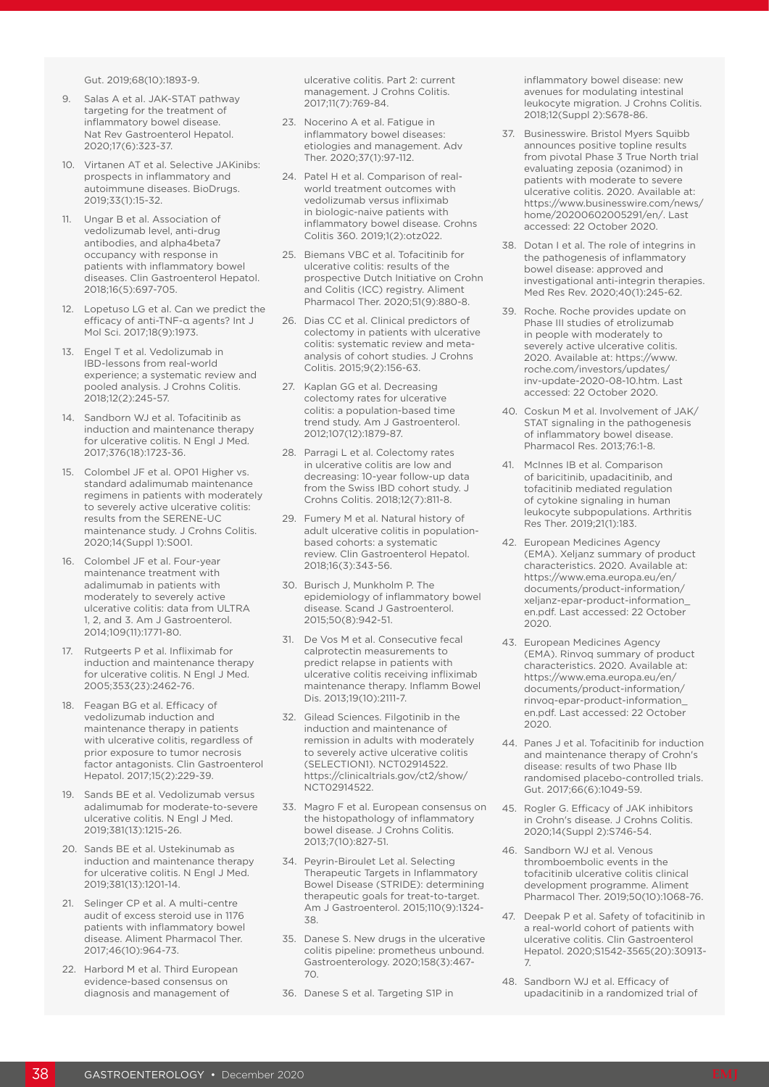Gut. 2019;68(10):1893-9.

- 9. Salas A et al. JAK-STAT pathway targeting for the treatment of inflammatory bowel disease. Nat Rev Gastroenterol Hepatol. 2020;17(6):323-37.
- 10. Virtanen AT et al. Selective JAKinibs: prospects in inflammatory and autoimmune diseases. BioDrugs. 2019;33(1):15-32.
- 11. Ungar B et al. Association of vedolizumab level, anti-drug antibodies, and alpha4beta7 occupancy with response in patients with inflammatory bowel diseases. Clin Gastroenterol Hepatol. 2018;16(5):697-705.
- 12. Lopetuso LG et al. Can we predict the efficacy of anti-TNF-α agents? Int J Mol Sci. 2017;18(9):1973.
- 13. Engel T et al. Vedolizumab in IBD-lessons from real-world experience; a systematic review and pooled analysis. J Crohns Colitis. 2018;12(2):245-57.
- 14. Sandborn WJ et al. Tofacitinib as induction and maintenance therapy for ulcerative colitis. N Engl J Med. 2017;376(18):1723-36.
- 15. Colombel JF et al. OP01 Higher vs. standard adalimumab maintenance regimens in patients with moderately to severely active ulcerative colitis: results from the SERENE-UC maintenance study. J Crohns Colitis. 2020;14(Suppl 1):S001.
- 16. Colombel JF et al. Four-year maintenance treatment with adalimumab in patients with moderately to severely active ulcerative colitis: data from ULTRA 1, 2, and 3. Am J Gastroenterol. 2014;109(11):1771-80.
- 17. Rutgeerts P et al. Infliximab for induction and maintenance therapy for ulcerative colitis. N Engl J Med. 2005;353(23):2462-76.
- 18. Feagan BG et al. Efficacy of vedolizumab induction and maintenance therapy in patients with ulcerative colitis, regardless of prior exposure to tumor necrosis factor antagonists. Clin Gastroenterol Hepatol. 2017;15(2):229-39.
- 19. Sands BE et al. Vedolizumab versus adalimumab for moderate-to-severe ulcerative colitis. N Engl J Med. 2019;381(13):1215-26.
- 20. Sands BE et al. Ustekinumab as induction and maintenance therapy for ulcerative colitis. N Engl J Med. 2019;381(13):1201-14.
- 21. Selinger CP et al. A multi-centre audit of excess steroid use in 1176 patients with inflammatory bowel disease. Aliment Pharmacol Ther. 2017;46(10):964-73.
- 22. Harbord M et al. Third European evidence-based consensus on diagnosis and management of

ulcerative colitis. Part 2: current management. J Crohns Colitis. 2017;11(7):769-84.

- 23. Nocerino A et al. Fatigue in inflammatory bowel diseases: etiologies and management. Adv Ther. 2020;37(1):97-112.
- 24. Patel H et al. Comparison of realworld treatment outcomes with vedolizumab versus infliximab in biologic-naive patients with inflammatory bowel disease. Crohns Colitis 360. 2019;1(2):otz022.
- 25. Biemans VBC et al. Tofacitinib for ulcerative colitis: results of the prospective Dutch Initiative on Crohn and Colitis (ICC) registry. Aliment Pharmacol Ther. 2020;51(9):880-8.
- 26. Dias CC et al. Clinical predictors of colectomy in patients with ulcerative colitis: systematic review and metaanalysis of cohort studies. J Crohns Colitis. 2015;9(2):156-63.
- 27. Kaplan GG et al. Decreasing colectomy rates for ulcerative colitis: a population-based time trend study. Am J Gastroenterol. 2012;107(12):1879-87.
- 28. Parragi L et al. Colectomy rates in ulcerative colitis are low and decreasing: 10-year follow-up data from the Swiss IBD cohort study. J Crohns Colitis. 2018;12(7):811-8.
- 29. Fumery M et al. Natural history of adult ulcerative colitis in populationbased cohorts: a systematic review. Clin Gastroenterol Hepatol. 2018;16(3):343-56.
- 30. Burisch J, Munkholm P. The epidemiology of inflammatory bowel disease. Scand J Gastroenterol. 2015;50(8):942-51.
- 31. De Vos M et al. Consecutive fecal calprotectin measurements to predict relapse in patients with ulcerative colitis receiving infliximab maintenance therapy. Inflamm Bowel Dis. 2013;19(10):2111-7.
- 32. Gilead Sciences. Filgotinib in the induction and maintenance of remission in adults with moderately to severely active ulcerative colitis (SELECTION1). NCT02914522. https://clinicaltrials.gov/ct2/show/ NCT02914522.
- 33. Magro F et al. European consensus on the histopathology of inflammatory bowel disease. J Crohns Colitis. 2013;7(10):827-51.
- 34. Peyrin-Biroulet Let al. Selecting Therapeutic Targets in Inflammatory Bowel Disease (STRIDE): determining therapeutic goals for treat-to-target. Am J Gastroenterol. 2015;110(9):1324- 38.
- 35. Danese S. New drugs in the ulcerative colitis pipeline: prometheus unbound. Gastroenterology. 2020;158(3):467- 70.
- 36. Danese S et al. Targeting S1P in

inflammatory bowel disease: new avenues for modulating intestinal leukocyte migration. J Crohns Colitis. 2018;12(Suppl 2):S678-86.

- 37. Businesswire. Bristol Myers Squibb announces positive topline results from pivotal Phase 3 True North trial evaluating zeposia (ozanimod) in patients with moderate to severe ulcerative colitis. 2020. Available at: https://www.businesswire.com/news/ home/20200602005291/en/. Last accessed: 22 October 2020.
- 38. Dotan I et al. The role of integrins in the pathogenesis of inflammatory bowel disease: approved and investigational anti-integrin therapies. Med Res Rev. 2020;40(1):245-62.
- 39. Roche. Roche provides update on Phase III studies of etrolizumab in people with moderately to severely active ulcerative colitis. 2020. Available at: https://www. roche.com/investors/updates/ inv-update-2020-08-10.htm. Last accessed: 22 October 2020.
- 40. Coskun M et al. Involvement of JAK/ STAT signaling in the pathogenesis of inflammatory bowel disease. Pharmacol Res. 2013;76:1-8.
- 41. McInnes IB et al. Comparison of baricitinib, upadacitinib, and tofacitinib mediated regulation of cytokine signaling in human leukocyte subpopulations. Arthritis Res Ther. 2019;21(1):183.
- 42. European Medicines Agency (EMA). Xeljanz summary of product characteristics. 2020. Available at: https://www.ema.europa.eu/en/ documents/product-information/ xeljanz-epar-product-information\_ en.pdf. Last accessed: 22 October 2020.
- 43. European Medicines Agency (EMA). Rinvoq summary of product characteristics. 2020. Available at: https://www.ema.europa.eu/en/ documents/product-information/ rinvoq-epar-product-information\_ en.pdf. Last accessed: 22 October 2020.
- 44. Panes J et al. Tofacitinib for induction and maintenance therapy of Crohn's disease: results of two Phase IIb randomised placebo-controlled trials. Gut. 2017;66(6):1049-59.
- 45. Rogler G. Efficacy of JAK inhibitors in Crohn's disease. J Crohns Colitis. 2020;14(Suppl 2):S746-54.
- 46. Sandborn WJ et al. Venous thromboembolic events in the tofacitinib ulcerative colitis clinical development programme. Aliment Pharmacol Ther. 2019;50(10):1068-76.
- 47. Deepak P et al. Safety of tofacitinib in a real-world cohort of patients with ulcerative colitis. Clin Gastroenterol Hepatol. 2020;S1542-3565(20):30913- 7.
- 48. Sandborn WJ et al. Efficacy of upadacitinib in a randomized trial of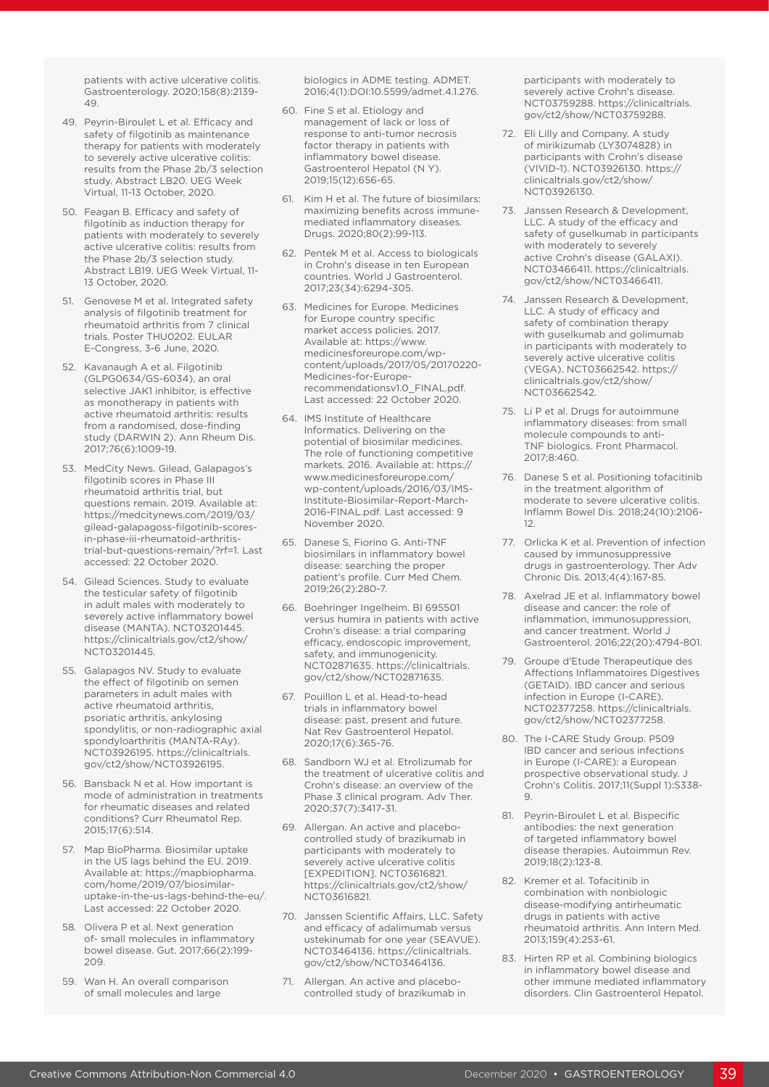patients with active ulcerative colitis. Gastroenterology. 2020;158(8):2139- 49.

- 49. Peyrin-Biroulet L et al. Efficacy and safety of filgotinib as maintenance therapy for patients with moderately to severely active ulcerative colitis: results from the Phase 2b/3 selection study. Abstract LB20. UEG Week Virtual, 11-13 October, 2020.
- 50. Feagan B. Efficacy and safety of filgotinib as induction therapy for patients with moderately to severely active ulcerative colitis: results from the Phase 2b/3 selection study. Abstract LB19. UEG Week Virtual, 11- 13 October, 2020.
- 51. Genovese M et al. Integrated safety analysis of filgotinib treatment for rheumatoid arthritis from 7 clinical trials. Poster THU0202. EULAR E-Congress, 3-6 June, 2020.
- 52. Kavanaugh A et al. Filgotinib (GLPG0634/GS-6034), an oral selective JAK1 inhibitor, is effective as monotherapy in patients with active rheumatoid arthritis: results from a randomised, dose-finding study (DARWIN 2). Ann Rheum Dis. 2017;76(6):1009-19.
- 53. MedCity News. Gilead, Galapagos's filgotinib scores in Phase III rheumatoid arthritis trial, but questions remain. 2019. Available at: https://medcitynews.com/2019/03/ gilead-galapagoss-filgotinib-scoresin-phase-iii-rheumatoid-arthritistrial-but-questions-remain/?rf=1. Last accessed: 22 October 2020.
- 54. Gilead Sciences. Study to evaluate the testicular safety of filgotinib in adult males with moderately to severely active inflammatory bowel disease (MANTA). NCT03201445. https://clinicaltrials.gov/ct2/show/ NCT03201445.
- 55. Galapagos NV. Study to evaluate the effect of filgotinib on semen parameters in adult males with active rheumatoid arthritis, psoriatic arthritis, ankylosing spondylitis, or non-radiographic axial spondyloarthritis (MANTA-RAy). NCT03926195. https://clinicaltrials. gov/ct2/show/NCT03926195.
- 56. Bansback N et al. How important is mode of administration in treatments for rheumatic diseases and related conditions? Curr Rheumatol Rep. 2015;17(6):514.
- 57. Map BioPharma. Biosimilar uptake in the US lags behind the EU. 2019. Available at: https://mapbiopharma. com/home/2019/07/biosimilaruptake-in-the-us-lags-behind-the-eu/. Last accessed: 22 October 2020.
- 58. Olivera P et al. Next generation of- small molecules in inflammatory bowel disease. Gut. 2017;66(2):199- 209.
- 59. Wan H. An overall comparison of small molecules and large

biologics in ADME testing. ADMET. 2016;4(1):DOI:10.5599/admet.4.1.276.

- 60. Fine S et al. Etiology and management of lack or loss of response to anti-tumor necrosis factor therapy in patients with inflammatory bowel disease. Gastroenterol Hepatol (N Y). 2019;15(12):656-65.
- 61. Kim H et al. The future of biosimilars: maximizing benefits across immunemediated inflammatory diseases. Drugs. 2020;80(2):99-113.
- 62. Pentek M et al. Access to biologicals in Crohn's disease in ten European countries. World J Gastroenterol. 2017;23(34):6294-305.
- 63. Medicines for Europe. Medicines for Europe country specific market access policies. 2017. Available at: https://www. medicinesforeurope.com/wpcontent/uploads/2017/05/20170220- Medicines-for-Europerecommendationsv1.0\_FINAL.pdf. Last accessed: 22 October 2020.
- 64. IMS Institute of Healthcare Informatics. Delivering on the potential of biosimilar medicines. The role of functioning competitive markets. 2016. Available at: https:// www.medicinesforeurope.com/ wp-content/uploads/2016/03/IMS-Institute-Biosimilar-Report-March-2016-FINAL.pdf. Last accessed: 9 November 2020.
- 65. Danese S, Fiorino G. Anti-TNF biosimilars in inflammatory bowel disease: searching the proper patient's profile. Curr Med Chem. 2019;26(2):280-7.
- 66. Boehringer Ingelheim. BI 695501 versus humira in patients with active Crohn's disease: a trial comparing efficacy, endoscopic improvement, safety, and immunogenicity. NCT02871635. https://clinicaltrials. gov/ct2/show/NCT02871635.
- 67. Pouillon L et al. Head-to-head trials in inflammatory bowel disease: past, present and future. Nat Rev Gastroenterol Hepatol. 2020;17(6):365-76.
- 68. Sandborn WJ et al. Etrolizumab for the treatment of ulcerative colitis and Crohn's disease: an overview of the Phase 3 clinical program. Adv Ther. 2020;37(7):3417-31.
- 69. Allergan. An active and placebocontrolled study of brazikumab in participants with moderately to severely active ulcerative colitis [EXPEDITION]. NCT03616821. https://clinicaltrials.gov/ct2/show/ NCT03616821.
- 70. Janssen Scientific Affairs, LLC. Safety and efficacy of adalimumab versus ustekinumab for one year (SEAVUE). NCT03464136. https://clinicaltrials. gov/ct2/show/NCT03464136.
- 71. Allergan. An active and placebocontrolled study of brazikumab in

participants with moderately to severely active Crohn's disease. NCT03759288. https://clinicaltrials. gov/ct2/show/NCT03759288.

- 72. Eli Lilly and Company. A study of mirikizumab (LY3074828) in participants with Crohn's disease (VIVID-1). NCT03926130. https:// clinicaltrials.gov/ct2/show/ NCT03926130.
- 73. Janssen Research & Development, LLC. A study of the efficacy and safety of guselkumab in participants with moderately to severely active Crohn's disease (GALAXI). NCT03466411. https://clinicaltrials. gov/ct2/show/NCT03466411.
- 74. Janssen Research & Development, LLC. A study of efficacy and safety of combination therapy with guselkumab and golimumab in participants with moderately to severely active ulcerative colitis (VEGA). NCT03662542. https:// clinicaltrials.gov/ct2/show/ NCT03662542.
- 75. Li P et al. Drugs for autoimmune inflammatory diseases: from small molecule compounds to anti-TNF biologics. Front Pharmacol. 2017;8:460.
- 76. Danese S et al. Positioning tofacitinib in the treatment algorithm of moderate to severe ulcerative colitis. Inflamm Bowel Dis. 2018;24(10):2106- 12.
- 77. Orlicka K et al. Prevention of infection caused by immunosuppressive drugs in gastroenterology. Ther Adv Chronic Dis. 2013;4(4):167-85.
- 78. Axelrad JE et al. Inflammatory bowel disease and cancer: the role of inflammation, immunosuppression, and cancer treatment. World J Gastroenterol. 2016;22(20):4794-801.
- 79. Groupe d'Etude Therapeutique des Affections Inflammatoires Digestives (GETAID). IBD cancer and serious infection in Europe (I-CARE). NCT02377258. https://clinicaltrials. gov/ct2/show/NCT02377258.
- 80. The I-CARE Study Group. P509 IBD cancer and serious infections in Europe (I-CARE): a European prospective observational study. J Crohn's Colitis. 2017;11(Suppl 1):S338- 9.
- 81. Peyrin-Biroulet L et al. Bispecific antibodies: the next generation of targeted inflammatory bowel disease therapies. Autoimmun Rev. 2019;18(2):123-8.
- 82. Kremer et al. Tofacitinib in combination with nonbiologic disease-modifying antirheumatic drugs in patients with active rheumatoid arthritis. Ann Intern Med. 2013;159(4):253-61.
- 83. Hirten RP et al. Combining biologics in inflammatory bowel disease and other immune mediated inflammatory disorders. Clin Gastroenterol Hepatol.